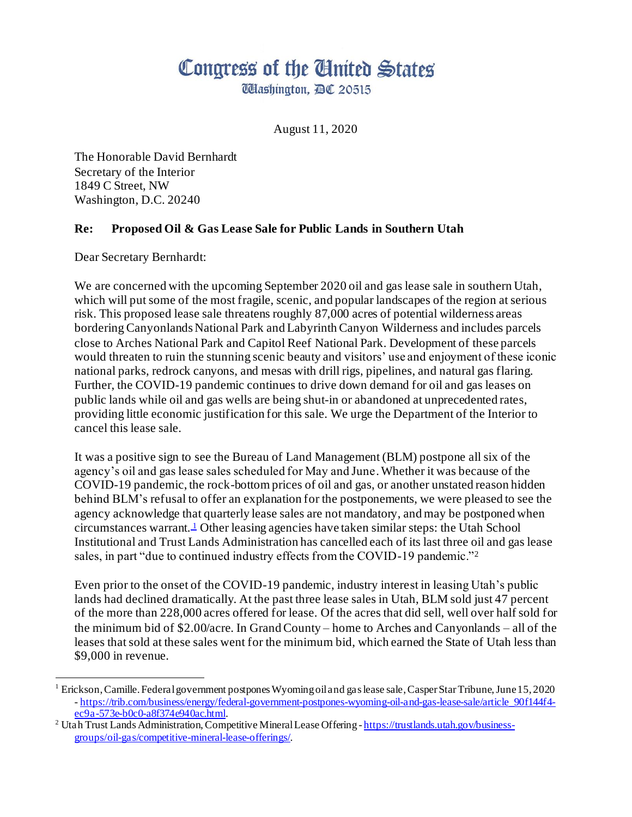# Congress of the Ginited States

**UHashington, AC 20515** 

August 11, 2020

The Honorable David Bernhardt Secretary of the Interior 1849 C Street, NW Washington, D.C. 20240

# **Re: Proposed Oil & Gas Lease Sale for Public Lands in Southern Utah**

Dear Secretary Bernhardt:

We are concerned with the upcoming September 2020 oil and gas lease sale in southern Utah, which will put some of the most fragile, scenic, and popular landscapes of the region at serious risk. This proposed lease sale threatens roughly 87,000 acres of potential wilderness areas bordering Canyonlands National Park and Labyrinth Canyon Wilderness and includes parcels close to Arches National Park and Capitol Reef National Park. Development of these parcels would threaten to ruin the stunning scenic beauty and visitors' use and enjoyment of these iconic national parks, redrock canyons, and mesas with drill rigs, pipelines, and natural gas flaring. Further, the COVID-19 pandemic continues to drive down demand for oil and gas leases on public lands while oil and gas wells are being shut-in or abandoned at unprecedented rates, providing little economic justification for this sale. We urge the Department of the Interior to cancel this lease sale.

It was a positive sign to see the Bureau of Land Management (BLM) postpone all six of the agency's oil and gas lease sales scheduled for May and June. Whether it was because of the COVID-19 pandemic, the rock-bottom prices of oil and gas, or another unstated reason hidden behind BLM's refusal to offer an explanation for the postponements, we were pleased to see the agency acknowledge that quarterly lease sales are not mandatory, and may be postponed when circumstances warrant.<sup>1</sup> Other leasing agencies have taken similar steps: the Utah School Institutional and Trust Lands Administration has cancelled each of its last three oil and gas lease sales, in part "due to continued industry effects from the COVID-19 pandemic."<sup>2</sup>

Even prior to the onset of the COVID-19 pandemic, industry interest in leasing Utah's public lands had declined dramatically. At the past three lease sales in Utah, BLM sold just 47 percent of the more than 228,000 acres offered for lease. Of the acres that did sell, well over half sold for the minimum bid of \$2.00/acre. In Grand County – home to Arches and Canyonlands – all of the leases that sold at these sales went for the minimum bid, which earned the State of Utah less than \$9,000 in revenue.

<sup>1</sup> Erickson, Camille. Federal government postpones Wyoming oil and gas lease sale, Casper Star Tribune, June15, 2020 - [https://trib.com/business/energy/federal-government-postpones-wyoming-oil-and-gas-lease-sale/article\\_90f144f4](https://trib.com/business/energy/federal-government-postpones-wyoming-oil-and-gas-lease-sale/article_90f144f4-ec9a-573e-b0c0-a8f374e940ac.html) [ec9a-573e-b0c0-a8f374e940ac.html](https://trib.com/business/energy/federal-government-postpones-wyoming-oil-and-gas-lease-sale/article_90f144f4-ec9a-573e-b0c0-a8f374e940ac.html).

<sup>&</sup>lt;sup>2</sup> Utah Trust Lands Administration, Competitive Mineral Lease Offering - [https://trustlands.utah.gov/business](https://trustlands.utah.gov/business-groups/oil-gas/competitive-mineral-lease-offerings/)[groups/oil-gas/competitive-mineral-lease-offerings/](https://trustlands.utah.gov/business-groups/oil-gas/competitive-mineral-lease-offerings/).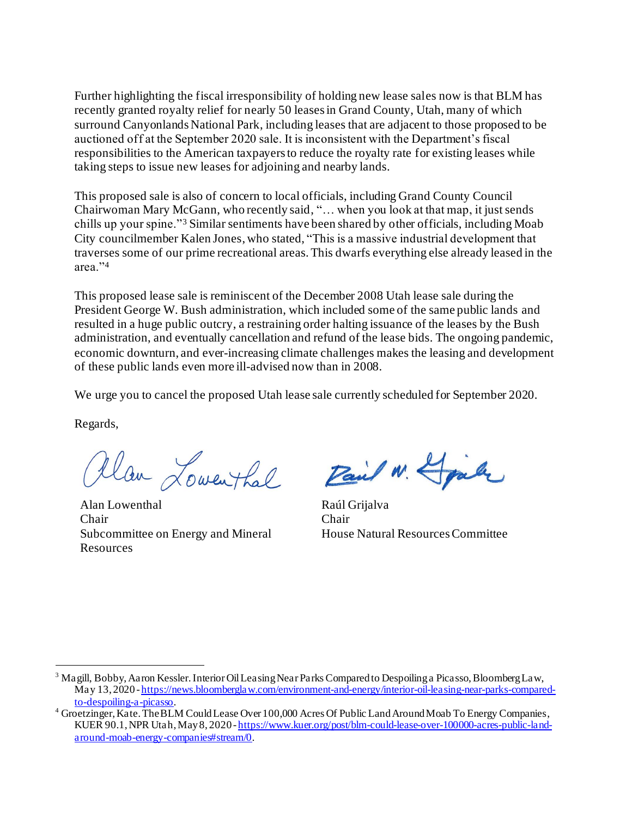Further highlighting the fiscal irresponsibility of holding new lease sales now is that BLM has recently granted royalty relief for nearly 50 leases in Grand County, Utah, many of which surround Canyonlands National Park, including leases that are adjacent to those proposed to be auctioned off at the September 2020 sale. It is inconsistent with the Department's fiscal responsibilities to the American taxpayers to reduce the royalty rate for existing leases while taking steps to issue new leases for adjoining and nearby lands.

This proposed sale is also of concern to local officials, including Grand County Council Chairwoman Mary McGann, who recently said, "… when you look at that map, it just sends chills up your spine."<sup>3</sup> Similar sentiments have been shared by other officials, including Moab City councilmember Kalen Jones, who stated, "This is a massive industrial development that traverses some of our prime recreational areas. This dwarfs everything else already leased in the area."<sup>4</sup>

This proposed lease sale is reminiscent of the December 2008 Utah lease sale during the President George W. Bush administration, which included some of the same public lands and resulted in a huge public outcry, a restraining order halting issuance of the leases by the Bush administration, and eventually cancellation and refund of the lease bids. The ongoing pandemic, economic downturn, and ever-increasing climate challenges makes the leasing and development of these public lands even more ill-advised now than in 2008.

We urge you to cancel the proposed Utah lease sale currently scheduled for September 2020.

Regards,

Alan Lowenthal

Alan Lowenthal Raúl Grijalva Chair Chair Subcommittee on Energy and Mineral Resources

Pail W. Spale

House Natural Resources Committee

<sup>3</sup> Magill, Bobby, Aaron Kessler. Interior Oil Leasing Near Parks Compared to Despoiling a Picasso, Bloomberg Law, May 13, 2020 - [https://news.bloomberglaw.com/environment-and-energy/interior-oil-leasing-near-parks-compared](https://news.bloomberglaw.com/environment-and-energy/interior-oil-leasing-near-parks-compared-to-despoiling-a-picasso)[to-despoiling-a-picasso](https://news.bloomberglaw.com/environment-and-energy/interior-oil-leasing-near-parks-compared-to-despoiling-a-picasso).

<sup>4</sup> Groetzinger, Kate. The BLM Could Lease Over 100,000 Acres Of Public Land Around Moab To Energy Companies, KUER 90.1, NPR Utah,May8, 2020 - [https://www.kuer.org/post/blm-could-lease-over-100000-acres-public-land](https://www.kuer.org/post/blm-could-lease-over-100000-acres-public-land-around-moab-energy-companies#stream/0)[around-moab-energy-companies#stream/0](https://www.kuer.org/post/blm-could-lease-over-100000-acres-public-land-around-moab-energy-companies#stream/0).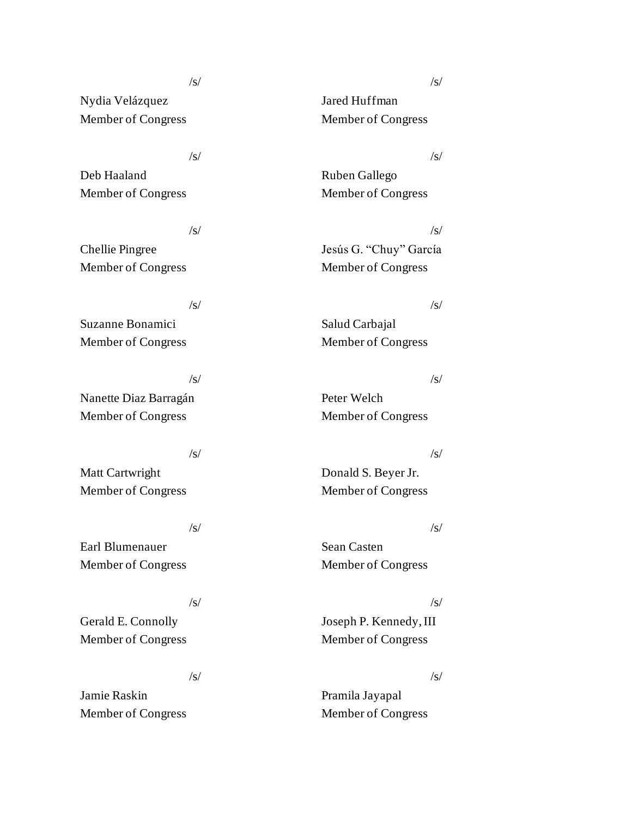# $\sqrt{s}/\sqrt{s}$

Nydia Velázquez Jared Huffman Member of Congress Member of Congress

# $\sqrt{s}/\sqrt{s}$

Deb Haaland Ruben Gallego Member of Congress Member of Congress

# $\sqrt{s}/\sqrt{s}$

Member of Congress Member of Congress

# $\sqrt{s}/\sqrt{s}$

Suzanne Bonamici Salud Carbajal Member of Congress Member of Congress

Nanette Diaz Barragán Peter Welch Member of Congress Member of Congress

# $\sqrt{s}/\sqrt{s}$

Matt Cartwright Donald S. Beyer Jr. Member of Congress Member of Congress

Earl Blumenauer Sean Casten Member of Congress Member of Congress

Member of Congress Member of Congress

# $\sqrt{s}/\sqrt{s}$

Jamie Raskin Pramila Jayapal Member of Congress Member of Congress

Chellie Pingree Jesús G. "Chuy" García

# $\sqrt{s}/\sqrt{s}$

# $\sqrt{s}/\sqrt{s}$

# $\sqrt{s}/\sqrt{s}$

Gerald E. Connolly Joseph P. Kennedy, III